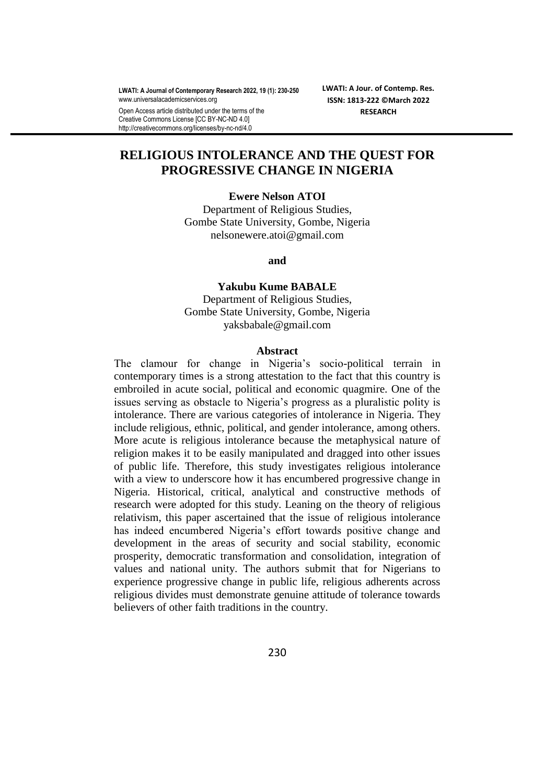**LWATI: A Journal of Contemporary Research 2022, 19 (1): 230-250** www.universalacademicservices.org

Open Access article distributed under the terms of the Creative Commons License [CC BY-NC-ND 4.0] http://creativecommons.org/licenses/by-nc-nd/4.0

**LWATI: A Jour. of Contemp. Res. ISSN: 1813-222 ©March 2022 RESEARCH**

# **RELIGIOUS INTOLERANCE AND THE QUEST FOR PROGRESSIVE CHANGE IN NIGERIA**

#### **Ewere Nelson ATOI**

Department of Religious Studies, Gombe State University, Gombe, Nigeria nelsonewere.atoi@gmail.com

**and** 

# **Yakubu Kume BABALE** Department of Religious Studies,

Gombe State University, Gombe, Nigeria yaksbabale@gmail.com

### **Abstract**

The clamour for change in Nigeria's socio-political terrain in contemporary times is a strong attestation to the fact that this country is embroiled in acute social, political and economic quagmire. One of the issues serving as obstacle to Nigeria's progress as a pluralistic polity is intolerance. There are various categories of intolerance in Nigeria. They include religious, ethnic, political, and gender intolerance, among others. More acute is religious intolerance because the metaphysical nature of religion makes it to be easily manipulated and dragged into other issues of public life. Therefore, this study investigates religious intolerance with a view to underscore how it has encumbered progressive change in Nigeria. Historical, critical, analytical and constructive methods of research were adopted for this study. Leaning on the theory of religious relativism, this paper ascertained that the issue of religious intolerance has indeed encumbered Nigeria's effort towards positive change and development in the areas of security and social stability, economic prosperity, democratic transformation and consolidation, integration of values and national unity. The authors submit that for Nigerians to experience progressive change in public life, religious adherents across religious divides must demonstrate genuine attitude of tolerance towards believers of other faith traditions in the country.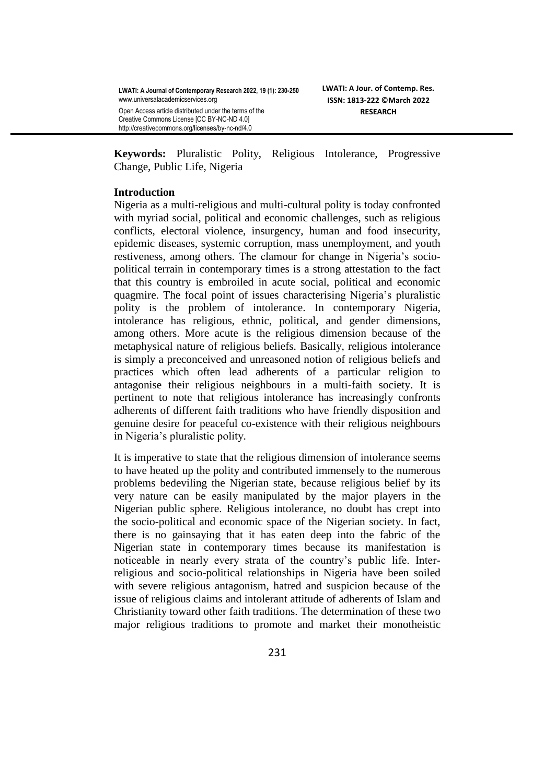http://creativecommons.org/licenses/by-nc-nd/4.0

**Keywords:** Pluralistic Polity, Religious Intolerance, Progressive Change, Public Life, Nigeria

### **Introduction**

Nigeria as a multi-religious and multi-cultural polity is today confronted with myriad social, political and economic challenges, such as religious conflicts, electoral violence, insurgency, human and food insecurity, epidemic diseases, systemic corruption, mass unemployment, and youth restiveness, among others. The clamour for change in Nigeria's sociopolitical terrain in contemporary times is a strong attestation to the fact that this country is embroiled in acute social, political and economic quagmire. The focal point of issues characterising Nigeria"s pluralistic polity is the problem of intolerance. In contemporary Nigeria, intolerance has religious, ethnic, political, and gender dimensions, among others. More acute is the religious dimension because of the metaphysical nature of religious beliefs. Basically, religious intolerance is simply a preconceived and unreasoned notion of religious beliefs and practices which often lead adherents of a particular religion to antagonise their religious neighbours in a multi-faith society. It is pertinent to note that religious intolerance has increasingly confronts adherents of different faith traditions who have friendly disposition and genuine desire for peaceful co-existence with their religious neighbours in Nigeria"s pluralistic polity.

It is imperative to state that the religious dimension of intolerance seems to have heated up the polity and contributed immensely to the numerous problems bedeviling the Nigerian state, because religious belief by its very nature can be easily manipulated by the major players in the Nigerian public sphere. Religious intolerance, no doubt has crept into the socio-political and economic space of the Nigerian society. In fact, there is no gainsaying that it has eaten deep into the fabric of the Nigerian state in contemporary times because its manifestation is noticeable in nearly every strata of the country"s public life. Interreligious and socio-political relationships in Nigeria have been soiled with severe religious antagonism, hatred and suspicion because of the issue of religious claims and intolerant attitude of adherents of Islam and Christianity toward other faith traditions. The determination of these two major religious traditions to promote and market their monotheistic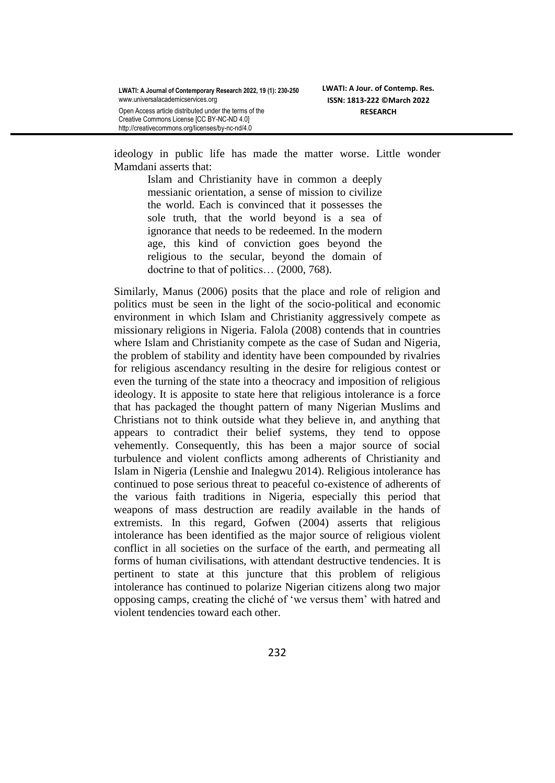ideology in public life has made the matter worse. Little wonder Mamdani asserts that:

Islam and Christianity have in common a deeply messianic orientation, a sense of mission to civilize the world. Each is convinced that it possesses the sole truth, that the world beyond is a sea of ignorance that needs to be redeemed. In the modern age, this kind of conviction goes beyond the religious to the secular, beyond the domain of doctrine to that of politics… (2000, 768).

Similarly, Manus (2006) posits that the place and role of religion and politics must be seen in the light of the socio-political and economic environment in which Islam and Christianity aggressively compete as missionary religions in Nigeria. Falola (2008) contends that in countries where Islam and Christianity compete as the case of Sudan and Nigeria, the problem of stability and identity have been compounded by rivalries for religious ascendancy resulting in the desire for religious contest or even the turning of the state into a theocracy and imposition of religious ideology. It is apposite to state here that religious intolerance is a force that has packaged the thought pattern of many Nigerian Muslims and Christians not to think outside what they believe in, and anything that appears to contradict their belief systems, they tend to oppose vehemently. Consequently, this has been a major source of social turbulence and violent conflicts among adherents of Christianity and Islam in Nigeria (Lenshie and Inalegwu 2014). Religious intolerance has continued to pose serious threat to peaceful co-existence of adherents of the various faith traditions in Nigeria, especially this period that weapons of mass destruction are readily available in the hands of extremists. In this regard, Gofwen (2004) asserts that religious intolerance has been identified as the major source of religious violent conflict in all societies on the surface of the earth, and permeating all forms of human civilisations, with attendant destructive tendencies. It is pertinent to state at this juncture that this problem of religious intolerance has continued to polarize Nigerian citizens along two major opposing camps, creating the cliché of "we versus them" with hatred and violent tendencies toward each other.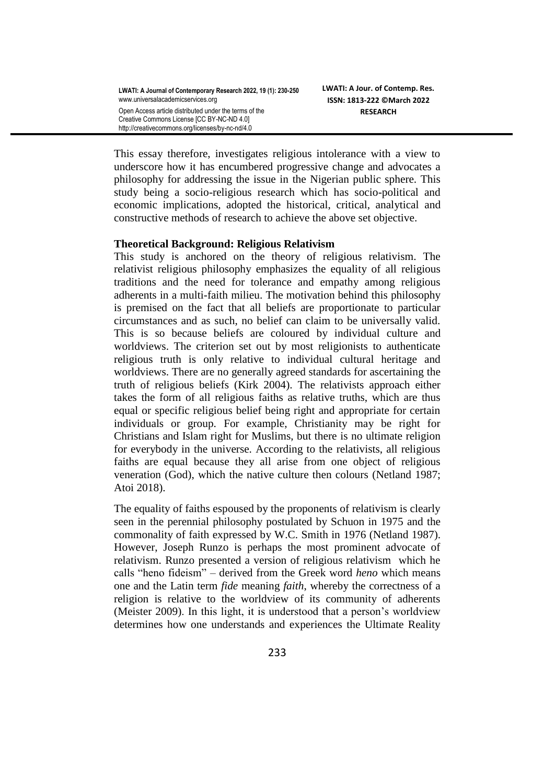This essay therefore, investigates religious intolerance with a view to underscore how it has encumbered progressive change and advocates a philosophy for addressing the issue in the Nigerian public sphere. This study being a socio-religious research which has socio-political and economic implications, adopted the historical, critical, analytical and constructive methods of research to achieve the above set objective.

### **Theoretical Background: Religious Relativism**

This study is anchored on the theory of religious relativism. The relativist religious philosophy emphasizes the equality of all religious traditions and the need for tolerance and empathy among religious adherents in a multi-faith milieu. The motivation behind this philosophy is premised on the fact that all beliefs are proportionate to particular circumstances and as such, no belief can claim to be universally valid. This is so because beliefs are coloured by individual culture and worldviews. The criterion set out by most religionists to authenticate religious truth is only relative to individual cultural heritage and worldviews. There are no generally agreed standards for ascertaining the truth of religious beliefs (Kirk 2004). The relativists approach either takes the form of all religious faiths as relative truths, which are thus equal or specific religious belief being right and appropriate for certain individuals or group. For example, Christianity may be right for Christians and Islam right for Muslims, but there is no ultimate religion for everybody in the universe. According to the relativists, all religious faiths are equal because they all arise from one object of religious veneration (God), which the native culture then colours (Netland 1987; Atoi 2018).

The equality of faiths espoused by the proponents of relativism is clearly seen in the perennial philosophy postulated by Schuon in 1975 and the commonality of faith expressed by W.C. Smith in 1976 (Netland 1987). However, Joseph Runzo is perhaps the most prominent advocate of relativism. Runzo presented a version of religious relativism which he calls "heno fideism" – derived from the Greek word *heno* which means one and the Latin term *fide* meaning *faith*, whereby the correctness of a religion is relative to the worldview of its community of adherents (Meister 2009). In this light, it is understood that a person"s worldview determines how one understands and experiences the Ultimate Reality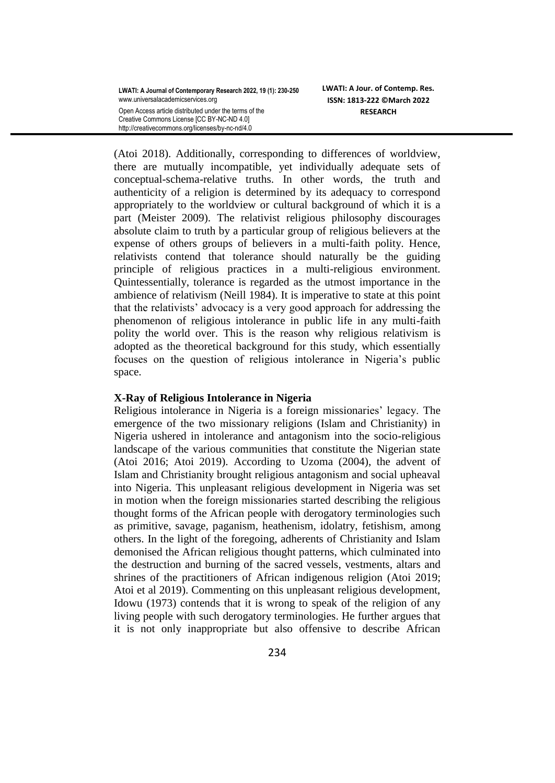(Atoi 2018). Additionally, corresponding to differences of worldview, there are mutually incompatible, yet individually adequate sets of conceptual-schema-relative truths. In other words, the truth and authenticity of a religion is determined by its adequacy to correspond appropriately to the worldview or cultural background of which it is a part (Meister 2009). The relativist religious philosophy discourages absolute claim to truth by a particular group of religious believers at the expense of others groups of believers in a multi-faith polity. Hence, relativists contend that tolerance should naturally be the guiding principle of religious practices in a multi-religious environment. Quintessentially, tolerance is regarded as the utmost importance in the ambience of relativism (Neill 1984). It is imperative to state at this point that the relativists" advocacy is a very good approach for addressing the phenomenon of religious intolerance in public life in any multi-faith polity the world over. This is the reason why religious relativism is adopted as the theoretical background for this study, which essentially focuses on the question of religious intolerance in Nigeria"s public space.

### **X-Ray of Religious Intolerance in Nigeria**

Religious intolerance in Nigeria is a foreign missionaries' legacy. The emergence of the two missionary religions (Islam and Christianity) in Nigeria ushered in intolerance and antagonism into the socio-religious landscape of the various communities that constitute the Nigerian state (Atoi 2016; Atoi 2019). According to Uzoma (2004), the advent of Islam and Christianity brought religious antagonism and social upheaval into Nigeria. This unpleasant religious development in Nigeria was set in motion when the foreign missionaries started describing the religious thought forms of the African people with derogatory terminologies such as primitive, savage, paganism, heathenism, idolatry, fetishism, among others. In the light of the foregoing, adherents of Christianity and Islam demonised the African religious thought patterns, which culminated into the destruction and burning of the sacred vessels, vestments, altars and shrines of the practitioners of African indigenous religion (Atoi 2019; Atoi et al 2019). Commenting on this unpleasant religious development, Idowu (1973) contends that it is wrong to speak of the religion of any living people with such derogatory terminologies. He further argues that it is not only inappropriate but also offensive to describe African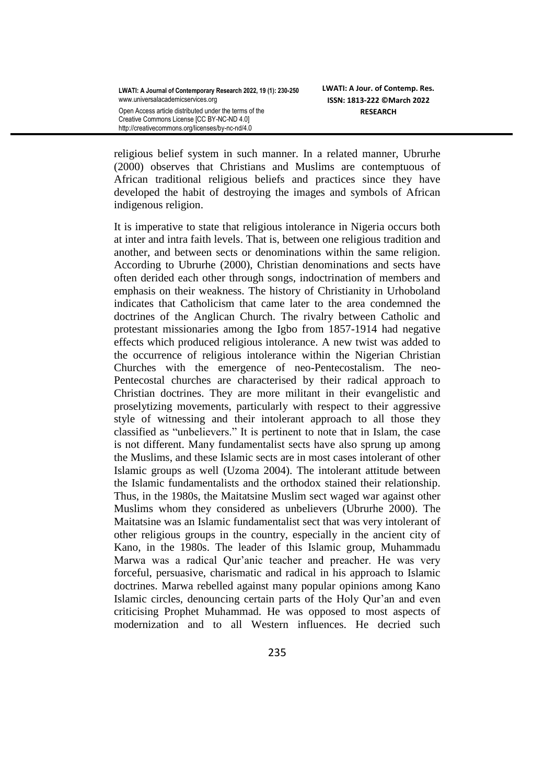religious belief system in such manner. In a related manner, Ubrurhe (2000) observes that Christians and Muslims are contemptuous of African traditional religious beliefs and practices since they have developed the habit of destroying the images and symbols of African indigenous religion.

It is imperative to state that religious intolerance in Nigeria occurs both at inter and intra faith levels. That is, between one religious tradition and another, and between sects or denominations within the same religion. According to Ubrurhe (2000), Christian denominations and sects have often derided each other through songs, indoctrination of members and emphasis on their weakness. The history of Christianity in Urhoboland indicates that Catholicism that came later to the area condemned the doctrines of the Anglican Church. The rivalry between Catholic and protestant missionaries among the Igbo from 1857-1914 had negative effects which produced religious intolerance. A new twist was added to the occurrence of religious intolerance within the Nigerian Christian Churches with the emergence of neo-Pentecostalism. The neo-Pentecostal churches are characterised by their radical approach to Christian doctrines. They are more militant in their evangelistic and proselytizing movements, particularly with respect to their aggressive style of witnessing and their intolerant approach to all those they classified as "unbelievers." It is pertinent to note that in Islam, the case is not different. Many fundamentalist sects have also sprung up among the Muslims, and these Islamic sects are in most cases intolerant of other Islamic groups as well (Uzoma 2004). The intolerant attitude between the Islamic fundamentalists and the orthodox stained their relationship. Thus, in the 1980s, the Maitatsine Muslim sect waged war against other Muslims whom they considered as unbelievers (Ubrurhe 2000). The Maitatsine was an Islamic fundamentalist sect that was very intolerant of other religious groups in the country, especially in the ancient city of Kano, in the 1980s. The leader of this Islamic group, Muhammadu Marwa was a radical Qur"anic teacher and preacher. He was very forceful, persuasive, charismatic and radical in his approach to Islamic doctrines. Marwa rebelled against many popular opinions among Kano Islamic circles, denouncing certain parts of the Holy Qur"an and even criticising Prophet Muhammad. He was opposed to most aspects of modernization and to all Western influences. He decried such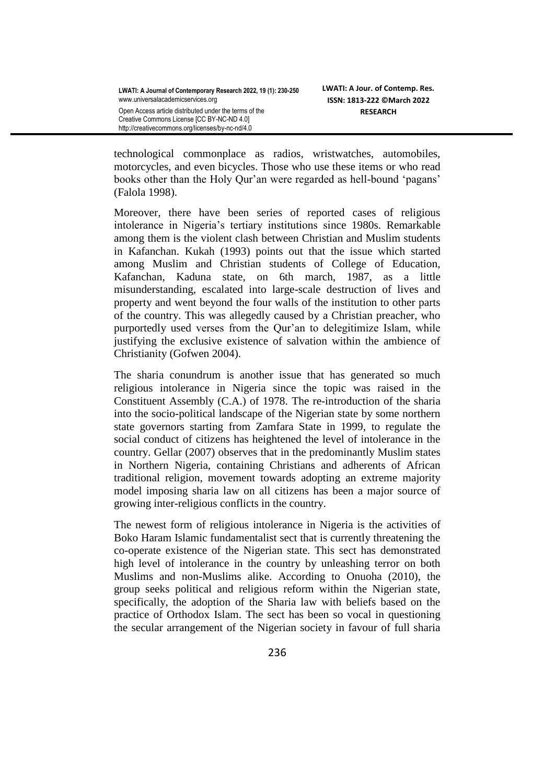technological commonplace as radios, wristwatches, automobiles, motorcycles, and even bicycles. Those who use these items or who read books other than the Holy Qur'an were regarded as hell-bound 'pagans' (Falola 1998).

Moreover, there have been series of reported cases of religious intolerance in Nigeria's tertiary institutions since 1980s. Remarkable among them is the violent clash between Christian and Muslim students in Kafanchan. Kukah (1993) points out that the issue which started among Muslim and Christian students of College of Education, Kafanchan, Kaduna state, on 6th march, 1987, as a little misunderstanding, escalated into large-scale destruction of lives and property and went beyond the four walls of the institution to other parts of the country. This was allegedly caused by a Christian preacher, who purportedly used verses from the Qur"an to delegitimize Islam, while justifying the exclusive existence of salvation within the ambience of Christianity (Gofwen 2004).

The sharia conundrum is another issue that has generated so much religious intolerance in Nigeria since the topic was raised in the Constituent Assembly (C.A.) of 1978. The re-introduction of the sharia into the socio-political landscape of the Nigerian state by some northern state governors starting from Zamfara State in 1999, to regulate the social conduct of citizens has heightened the level of intolerance in the country. Gellar (2007) observes that in the predominantly Muslim states in Northern Nigeria, containing Christians and adherents of African traditional religion, movement towards adopting an extreme majority model imposing sharia law on all citizens has been a major source of growing inter-religious conflicts in the country.

The newest form of religious intolerance in Nigeria is the activities of Boko Haram Islamic fundamentalist sect that is currently threatening the co-operate existence of the Nigerian state. This sect has demonstrated high level of intolerance in the country by unleashing terror on both Muslims and non-Muslims alike. According to Onuoha (2010), the group seeks political and religious reform within the Nigerian state, specifically, the adoption of the Sharia law with beliefs based on the practice of Orthodox Islam. The sect has been so vocal in questioning the secular arrangement of the Nigerian society in favour of full sharia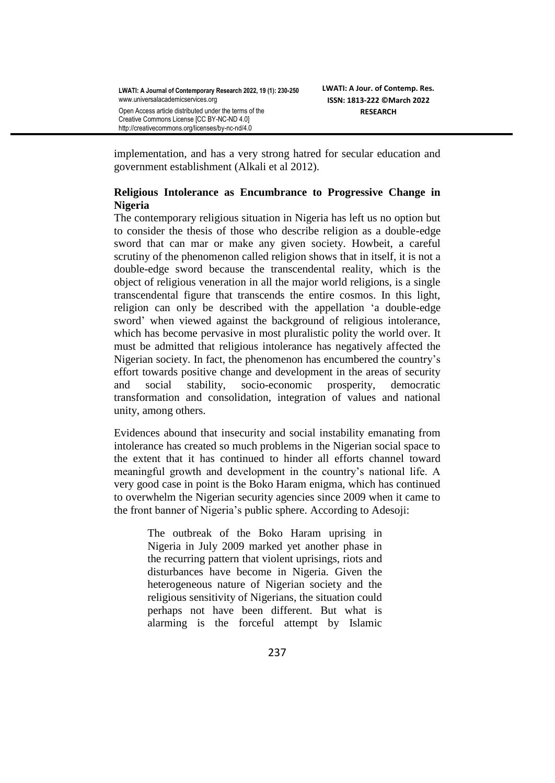implementation, and has a very strong hatred for secular education and government establishment (Alkali et al 2012).

## **Religious Intolerance as Encumbrance to Progressive Change in Nigeria**

The contemporary religious situation in Nigeria has left us no option but to consider the thesis of those who describe religion as a double-edge sword that can mar or make any given society. Howbeit, a careful scrutiny of the phenomenon called religion shows that in itself, it is not a double-edge sword because the transcendental reality, which is the object of religious veneration in all the major world religions, is a single transcendental figure that transcends the entire cosmos. In this light, religion can only be described with the appellation "a double-edge sword" when viewed against the background of religious intolerance, which has become pervasive in most pluralistic polity the world over. It must be admitted that religious intolerance has negatively affected the Nigerian society. In fact, the phenomenon has encumbered the country"s effort towards positive change and development in the areas of security and social stability, socio-economic prosperity, democratic transformation and consolidation, integration of values and national unity, among others.

Evidences abound that insecurity and social instability emanating from intolerance has created so much problems in the Nigerian social space to the extent that it has continued to hinder all efforts channel toward meaningful growth and development in the country"s national life. A very good case in point is the Boko Haram enigma, which has continued to overwhelm the Nigerian security agencies since 2009 when it came to the front banner of Nigeria"s public sphere. According to Adesoji:

> The outbreak of the Boko Haram uprising in Nigeria in July 2009 marked yet another phase in the recurring pattern that violent uprisings, riots and disturbances have become in Nigeria. Given the heterogeneous nature of Nigerian society and the religious sensitivity of Nigerians, the situation could perhaps not have been different. But what is alarming is the forceful attempt by Islamic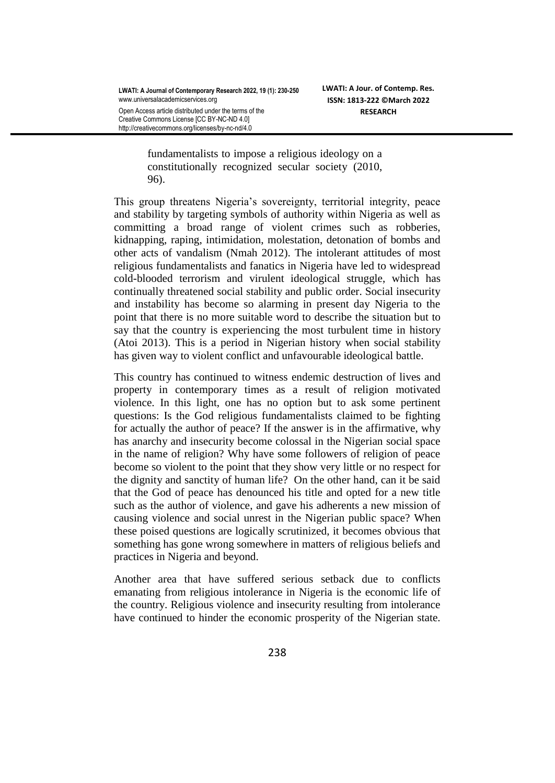Creative Commons License [CC BY-NC-ND 4.0] http://creativecommons.org/licenses/by-nc-nd/4.0

fundamentalists to impose a religious ideology on a constitutionally recognized secular society (2010, 96).

This group threatens Nigeria"s sovereignty, territorial integrity, peace and stability by targeting symbols of authority within Nigeria as well as committing a broad range of violent crimes such as robberies, kidnapping, raping, intimidation, molestation, detonation of bombs and other acts of vandalism (Nmah 2012). The intolerant attitudes of most religious fundamentalists and fanatics in Nigeria have led to widespread cold-blooded terrorism and virulent ideological struggle, which has continually threatened social stability and public order. Social insecurity and instability has become so alarming in present day Nigeria to the point that there is no more suitable word to describe the situation but to say that the country is experiencing the most turbulent time in history (Atoi 2013). This is a period in Nigerian history when social stability has given way to violent conflict and unfavourable ideological battle.

This country has continued to witness endemic destruction of lives and property in contemporary times as a result of religion motivated violence. In this light, one has no option but to ask some pertinent questions: Is the God religious fundamentalists claimed to be fighting for actually the author of peace? If the answer is in the affirmative, why has anarchy and insecurity become colossal in the Nigerian social space in the name of religion? Why have some followers of religion of peace become so violent to the point that they show very little or no respect for the dignity and sanctity of human life? On the other hand, can it be said that the God of peace has denounced his title and opted for a new title such as the author of violence, and gave his adherents a new mission of causing violence and social unrest in the Nigerian public space? When these poised questions are logically scrutinized, it becomes obvious that something has gone wrong somewhere in matters of religious beliefs and practices in Nigeria and beyond.

Another area that have suffered serious setback due to conflicts emanating from religious intolerance in Nigeria is the economic life of the country. Religious violence and insecurity resulting from intolerance have continued to hinder the economic prosperity of the Nigerian state.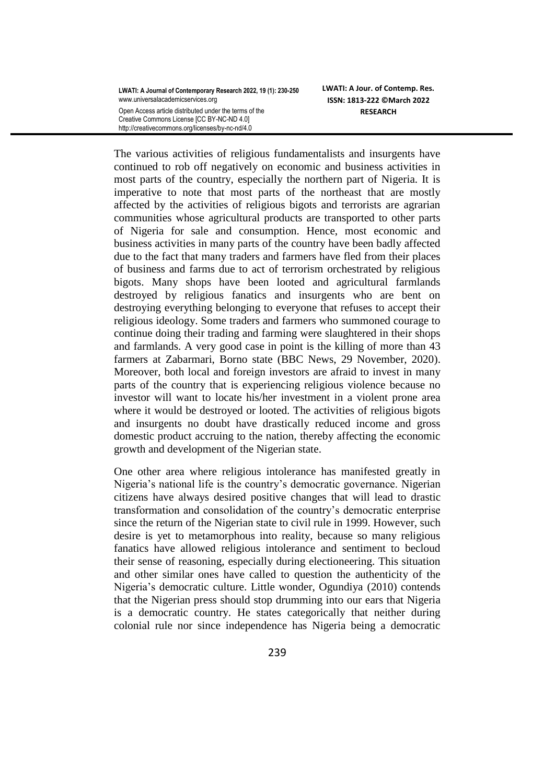**LWATI: A Journal of Contemporary Research 2022, 19 (1): 230-250** www.universalacademicservices.org Open Access article distributed under the terms of the Creative Commons License [CC BY-NC-ND 4.0] http://creativecommons.org/licenses/by-nc-nd/4.0

**LWATI: A Jour. of Contemp. Res. ISSN: 1813-222 ©March 2022 RESEARCH**

The various activities of religious fundamentalists and insurgents have continued to rob off negatively on economic and business activities in most parts of the country, especially the northern part of Nigeria. It is imperative to note that most parts of the northeast that are mostly affected by the activities of religious bigots and terrorists are agrarian communities whose agricultural products are transported to other parts of Nigeria for sale and consumption. Hence, most economic and business activities in many parts of the country have been badly affected due to the fact that many traders and farmers have fled from their places of business and farms due to act of terrorism orchestrated by religious bigots. Many shops have been looted and agricultural farmlands destroyed by religious fanatics and insurgents who are bent on destroying everything belonging to everyone that refuses to accept their religious ideology. Some traders and farmers who summoned courage to continue doing their trading and farming were slaughtered in their shops and farmlands. A very good case in point is the killing of more than 43 farmers at Zabarmari, Borno state (BBC News, 29 November, 2020). Moreover, both local and foreign investors are afraid to invest in many parts of the country that is experiencing religious violence because no investor will want to locate his/her investment in a violent prone area where it would be destroyed or looted. The activities of religious bigots and insurgents no doubt have drastically reduced income and gross domestic product accruing to the nation, thereby affecting the economic growth and development of the Nigerian state.

One other area where religious intolerance has manifested greatly in Nigeria"s national life is the country"s democratic governance. Nigerian citizens have always desired positive changes that will lead to drastic transformation and consolidation of the country"s democratic enterprise since the return of the Nigerian state to civil rule in 1999. However, such desire is yet to metamorphous into reality, because so many religious fanatics have allowed religious intolerance and sentiment to becloud their sense of reasoning, especially during electioneering. This situation and other similar ones have called to question the authenticity of the Nigeria"s democratic culture. Little wonder, Ogundiya (2010) contends that the Nigerian press should stop drumming into our ears that Nigeria is a democratic country. He states categorically that neither during colonial rule nor since independence has Nigeria being a democratic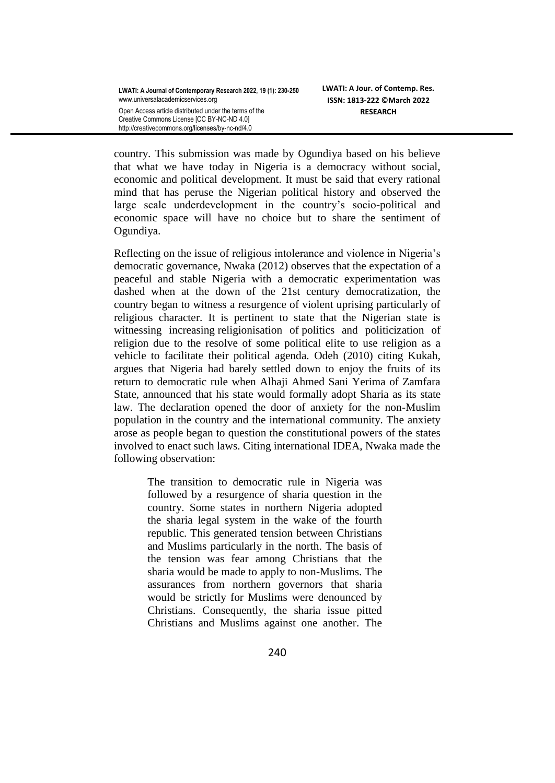http://creativecommons.org/licenses/by-nc-nd/4.0

country. This submission was made by Ogundiya based on his believe that what we have today in Nigeria is a democracy without social, economic and political development. It must be said that every rational mind that has peruse the Nigerian political history and observed the large scale underdevelopment in the country's socio-political and economic space will have no choice but to share the sentiment of Ogundiya.

Reflecting on the issue of religious intolerance and violence in Nigeria's democratic governance, Nwaka (2012) observes that the expectation of a peaceful and stable Nigeria with a democratic experimentation was dashed when at the down of the 21st century democratization, the country began to witness a resurgence of violent uprising particularly of religious character. It is pertinent to state that the Nigerian state is witnessing increasing religionisation of politics and politicization of religion due to the resolve of some political elite to use religion as a vehicle to facilitate their political agenda. Odeh (2010) citing Kukah, argues that Nigeria had barely settled down to enjoy the fruits of its return to democratic rule when Alhaji Ahmed Sani Yerima of Zamfara State, announced that his state would formally adopt Sharia as its state law. The declaration opened the door of anxiety for the non-Muslim population in the country and the international community. The anxiety arose as people began to question the constitutional powers of the states involved to enact such laws. Citing international IDEA, Nwaka made the following observation:

> The transition to democratic rule in Nigeria was followed by a resurgence of sharia question in the country. Some states in northern Nigeria adopted the sharia legal system in the wake of the fourth republic. This generated tension between Christians and Muslims particularly in the north. The basis of the tension was fear among Christians that the sharia would be made to apply to non-Muslims. The assurances from northern governors that sharia would be strictly for Muslims were denounced by Christians. Consequently, the sharia issue pitted Christians and Muslims against one another. The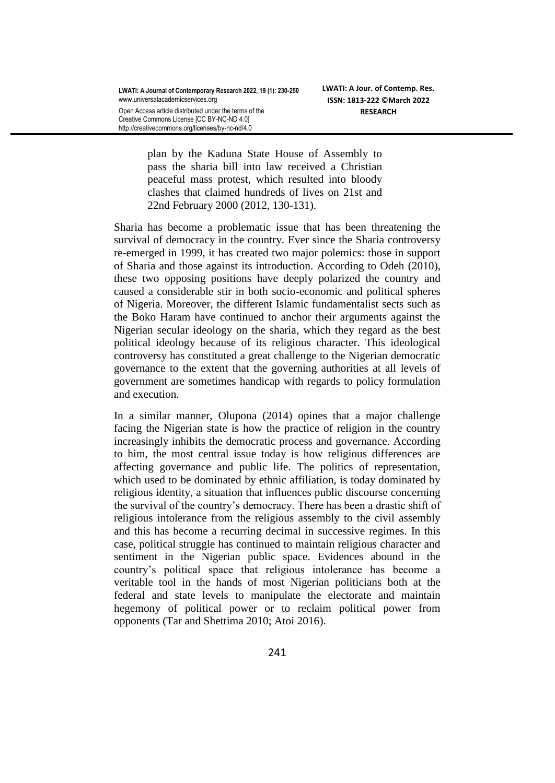http://creativecommons.org/licenses/by-nc-nd/4.0

plan by the Kaduna State House of Assembly to pass the sharia bill into law received a Christian peaceful mass protest, which resulted into bloody clashes that claimed hundreds of lives on 21st and 22nd February 2000 (2012, 130-131).

Sharia has become a problematic issue that has been threatening the survival of democracy in the country. Ever since the Sharia controversy re-emerged in 1999, it has created two major polemics: those in support of Sharia and those against its introduction. According to Odeh (2010), these two opposing positions have deeply polarized the country and caused a considerable stir in both socio-economic and political spheres of Nigeria. Moreover, the different Islamic fundamentalist sects such as the Boko Haram have continued to anchor their arguments against the Nigerian secular ideology on the sharia, which they regard as the best political ideology because of its religious character. This ideological controversy has constituted a great challenge to the Nigerian democratic governance to the extent that the governing authorities at all levels of government are sometimes handicap with regards to policy formulation and execution.

In a similar manner, Olupona (2014) opines that a major challenge facing the Nigerian state is how the practice of religion in the country increasingly inhibits the democratic process and governance. According to him, the most central issue today is how religious differences are affecting governance and public life. The politics of representation, which used to be dominated by ethnic affiliation, is today dominated by religious identity, a situation that influences public discourse concerning the survival of the country"s democracy. There has been a drastic shift of religious intolerance from the religious assembly to the civil assembly and this has become a recurring decimal in successive regimes. In this case, political struggle has continued to maintain religious character and sentiment in the Nigerian public space. Evidences abound in the country"s political space that religious intolerance has become a veritable tool in the hands of most Nigerian politicians both at the federal and state levels to manipulate the electorate and maintain hegemony of political power or to reclaim political power from opponents (Tar and Shettima 2010; Atoi 2016).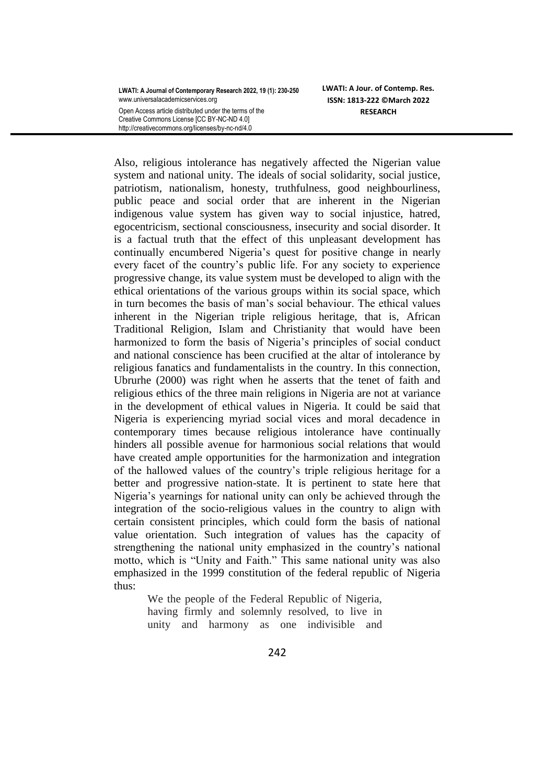**LWATI: A Journal of Contemporary Research 2022, 19 (1): 230-250** www.universalacademicservices.org Open Access article distributed under the terms of the

Creative Commons License [CC BY-NC-ND 4.0] http://creativecommons.org/licenses/by-nc-nd/4.0

Also, religious intolerance has negatively affected the Nigerian value system and national unity. The ideals of social solidarity, social justice, patriotism, nationalism, honesty, truthfulness, good neighbourliness, public peace and social order that are inherent in the Nigerian indigenous value system has given way to social injustice, hatred, egocentricism, sectional consciousness, insecurity and social disorder. It is a factual truth that the effect of this unpleasant development has continually encumbered Nigeria's quest for positive change in nearly every facet of the country"s public life. For any society to experience progressive change, its value system must be developed to align with the ethical orientations of the various groups within its social space, which in turn becomes the basis of man"s social behaviour. The ethical values inherent in the Nigerian triple religious heritage, that is, African Traditional Religion, Islam and Christianity that would have been harmonized to form the basis of Nigeria's principles of social conduct and national conscience has been crucified at the altar of intolerance by religious fanatics and fundamentalists in the country. In this connection, Ubrurhe (2000) was right when he asserts that the tenet of faith and religious ethics of the three main religions in Nigeria are not at variance in the development of ethical values in Nigeria. It could be said that Nigeria is experiencing myriad social vices and moral decadence in contemporary times because religious intolerance have continually hinders all possible avenue for harmonious social relations that would have created ample opportunities for the harmonization and integration of the hallowed values of the country"s triple religious heritage for a better and progressive nation-state. It is pertinent to state here that Nigeria"s yearnings for national unity can only be achieved through the integration of the socio-religious values in the country to align with certain consistent principles, which could form the basis of national value orientation. Such integration of values has the capacity of strengthening the national unity emphasized in the country"s national motto, which is "Unity and Faith." This same national unity was also emphasized in the 1999 constitution of the federal republic of Nigeria thus:

> We the people of the Federal Republic of Nigeria, having firmly and solemnly resolved, to live in unity and harmony as one indivisible and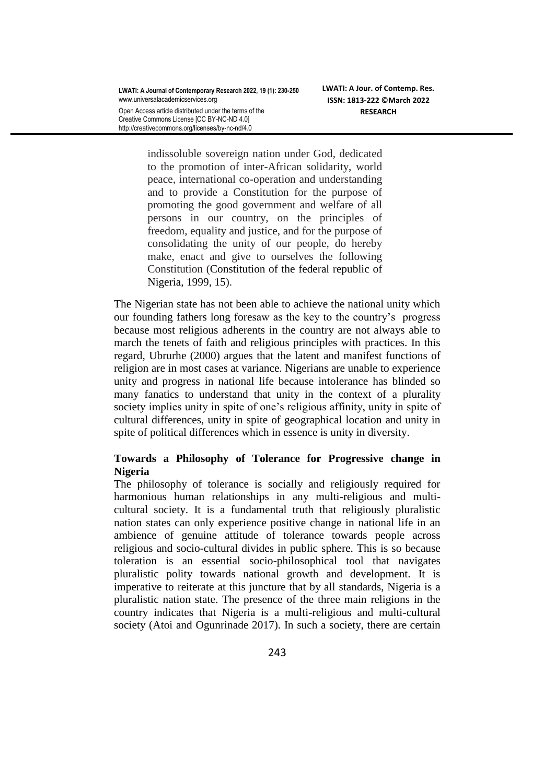Creative Commons License [CC BY-NC-ND 4.0] http://creativecommons.org/licenses/by-nc-nd/4.0

indissoluble sovereign nation under God*,* dedicated to the promotion of inter-African solidarity, world peace, international co-operation and understanding and to provide a Constitution for the purpose of promoting the good government and welfare of all persons in our country, on the principles of freedom, equality and justice, and for the purpose of consolidating the unity of our people, do hereby make, enact and give to ourselves the following Constitution (Constitution of the federal republic of Nigeria, 1999, 15).

The Nigerian state has not been able to achieve the national unity which our founding fathers long foresaw as the key to the country"s progress because most religious adherents in the country are not always able to march the tenets of faith and religious principles with practices. In this regard, Ubrurhe (2000) argues that the latent and manifest functions of religion are in most cases at variance. Nigerians are unable to experience unity and progress in national life because intolerance has blinded so many fanatics to understand that unity in the context of a plurality society implies unity in spite of one's religious affinity, unity in spite of cultural differences, unity in spite of geographical location and unity in spite of political differences which in essence is unity in diversity.

## **Towards a Philosophy of Tolerance for Progressive change in Nigeria**

The philosophy of tolerance is socially and religiously required for harmonious human relationships in any multi-religious and multicultural society. It is a fundamental truth that religiously pluralistic nation states can only experience positive change in national life in an ambience of genuine attitude of tolerance towards people across religious and socio-cultural divides in public sphere. This is so because toleration is an essential socio-philosophical tool that navigates pluralistic polity towards national growth and development. It is imperative to reiterate at this juncture that by all standards, Nigeria is a pluralistic nation state. The presence of the three main religions in the country indicates that Nigeria is a multi-religious and multi-cultural society (Atoi and Ogunrinade 2017). In such a society, there are certain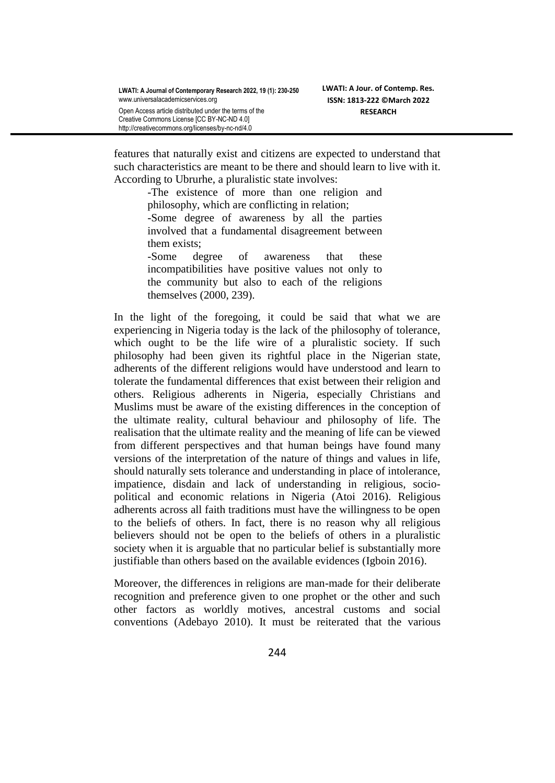features that naturally exist and citizens are expected to understand that such characteristics are meant to be there and should learn to live with it. According to Ubrurhe, a pluralistic state involves:

> -The existence of more than one religion and philosophy, which are conflicting in relation;

> -Some degree of awareness by all the parties involved that a fundamental disagreement between them exists;

> -Some degree of awareness that these incompatibilities have positive values not only to the community but also to each of the religions themselves (2000, 239).

In the light of the foregoing, it could be said that what we are experiencing in Nigeria today is the lack of the philosophy of tolerance, which ought to be the life wire of a pluralistic society. If such philosophy had been given its rightful place in the Nigerian state, adherents of the different religions would have understood and learn to tolerate the fundamental differences that exist between their religion and others. Religious adherents in Nigeria, especially Christians and Muslims must be aware of the existing differences in the conception of the ultimate reality, cultural behaviour and philosophy of life. The realisation that the ultimate reality and the meaning of life can be viewed from different perspectives and that human beings have found many versions of the interpretation of the nature of things and values in life, should naturally sets tolerance and understanding in place of intolerance, impatience, disdain and lack of understanding in religious, sociopolitical and economic relations in Nigeria (Atoi 2016). Religious adherents across all faith traditions must have the willingness to be open to the beliefs of others. In fact, there is no reason why all religious believers should not be open to the beliefs of others in a pluralistic society when it is arguable that no particular belief is substantially more justifiable than others based on the available evidences (Igboin 2016).

Moreover, the differences in religions are man-made for their deliberate recognition and preference given to one prophet or the other and such other factors as worldly motives, ancestral customs and social conventions (Adebayo 2010). It must be reiterated that the various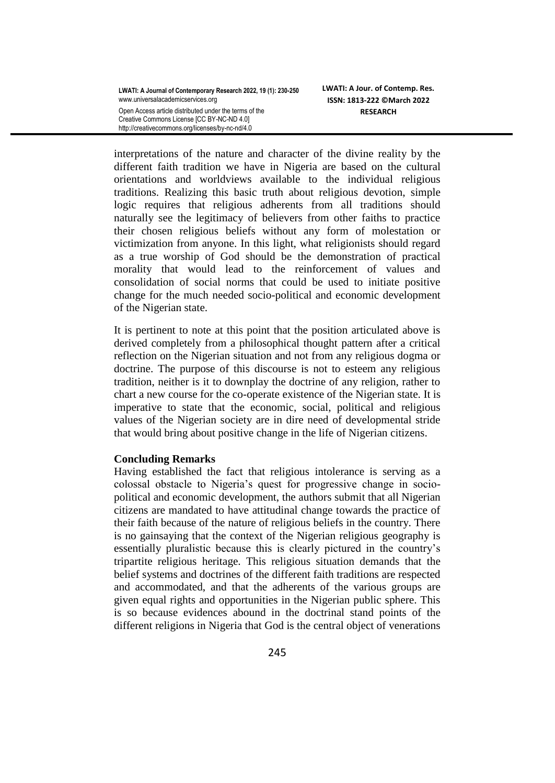interpretations of the nature and character of the divine reality by the different faith tradition we have in Nigeria are based on the cultural orientations and worldviews available to the individual religious traditions. Realizing this basic truth about religious devotion, simple logic requires that religious adherents from all traditions should naturally see the legitimacy of believers from other faiths to practice their chosen religious beliefs without any form of molestation or victimization from anyone. In this light, what religionists should regard as a true worship of God should be the demonstration of practical morality that would lead to the reinforcement of values and consolidation of social norms that could be used to initiate positive change for the much needed socio-political and economic development of the Nigerian state.

It is pertinent to note at this point that the position articulated above is derived completely from a philosophical thought pattern after a critical reflection on the Nigerian situation and not from any religious dogma or doctrine. The purpose of this discourse is not to esteem any religious tradition, neither is it to downplay the doctrine of any religion, rather to chart a new course for the co-operate existence of the Nigerian state. It is imperative to state that the economic, social, political and religious values of the Nigerian society are in dire need of developmental stride that would bring about positive change in the life of Nigerian citizens.

## **Concluding Remarks**

Having established the fact that religious intolerance is serving as a colossal obstacle to Nigeria"s quest for progressive change in sociopolitical and economic development, the authors submit that all Nigerian citizens are mandated to have attitudinal change towards the practice of their faith because of the nature of religious beliefs in the country. There is no gainsaying that the context of the Nigerian religious geography is essentially pluralistic because this is clearly pictured in the country"s tripartite religious heritage. This religious situation demands that the belief systems and doctrines of the different faith traditions are respected and accommodated, and that the adherents of the various groups are given equal rights and opportunities in the Nigerian public sphere. This is so because evidences abound in the doctrinal stand points of the different religions in Nigeria that God is the central object of venerations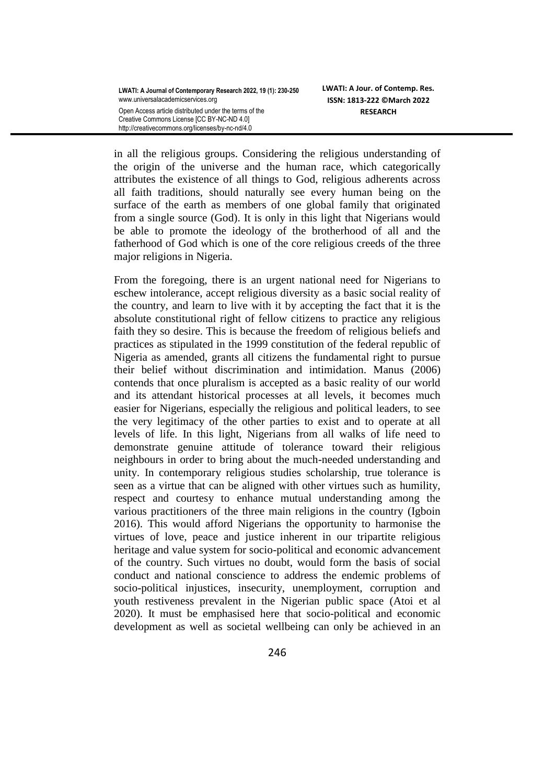in all the religious groups. Considering the religious understanding of the origin of the universe and the human race, which categorically attributes the existence of all things to God, religious adherents across all faith traditions, should naturally see every human being on the surface of the earth as members of one global family that originated from a single source (God). It is only in this light that Nigerians would be able to promote the ideology of the brotherhood of all and the fatherhood of God which is one of the core religious creeds of the three major religions in Nigeria.

From the foregoing, there is an urgent national need for Nigerians to eschew intolerance, accept religious diversity as a basic social reality of the country, and learn to live with it by accepting the fact that it is the absolute constitutional right of fellow citizens to practice any religious faith they so desire. This is because the freedom of religious beliefs and practices as stipulated in the 1999 constitution of the federal republic of Nigeria as amended, grants all citizens the fundamental right to pursue their belief without discrimination and intimidation. Manus (2006) contends that once pluralism is accepted as a basic reality of our world and its attendant historical processes at all levels, it becomes much easier for Nigerians, especially the religious and political leaders, to see the very legitimacy of the other parties to exist and to operate at all levels of life. In this light, Nigerians from all walks of life need to demonstrate genuine attitude of tolerance toward their religious neighbours in order to bring about the much-needed understanding and unity. In contemporary religious studies scholarship, true tolerance is seen as a virtue that can be aligned with other virtues such as humility, respect and courtesy to enhance mutual understanding among the various practitioners of the three main religions in the country (Igboin 2016). This would afford Nigerians the opportunity to harmonise the virtues of love, peace and justice inherent in our tripartite religious heritage and value system for socio-political and economic advancement of the country. Such virtues no doubt, would form the basis of social conduct and national conscience to address the endemic problems of socio-political injustices, insecurity, unemployment, corruption and youth restiveness prevalent in the Nigerian public space (Atoi et al 2020). It must be emphasised here that socio-political and economic development as well as societal wellbeing can only be achieved in an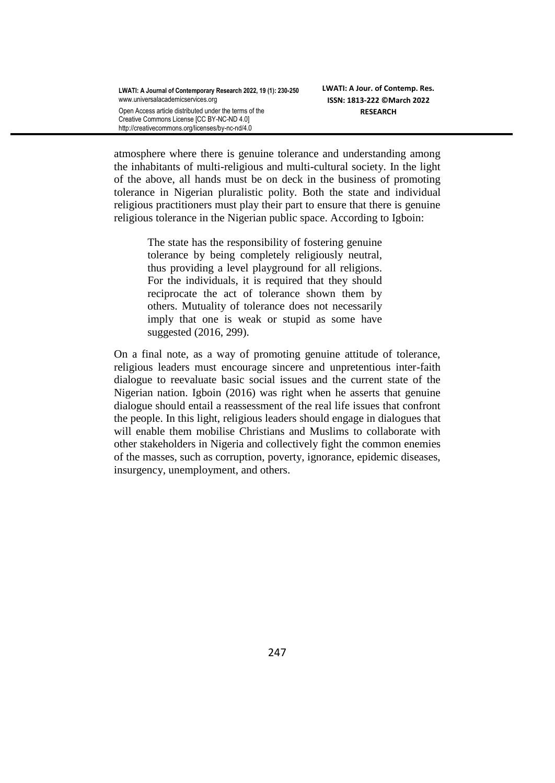atmosphere where there is genuine tolerance and understanding among the inhabitants of multi-religious and multi-cultural society. In the light of the above, all hands must be on deck in the business of promoting tolerance in Nigerian pluralistic polity. Both the state and individual religious practitioners must play their part to ensure that there is genuine religious tolerance in the Nigerian public space. According to Igboin:

> The state has the responsibility of fostering genuine tolerance by being completely religiously neutral, thus providing a level playground for all religions. For the individuals, it is required that they should reciprocate the act of tolerance shown them by others. Mutuality of tolerance does not necessarily imply that one is weak or stupid as some have suggested (2016, 299).

On a final note, as a way of promoting genuine attitude of tolerance, religious leaders must encourage sincere and unpretentious inter-faith dialogue to reevaluate basic social issues and the current state of the Nigerian nation. Igboin (2016) was right when he asserts that genuine dialogue should entail a reassessment of the real life issues that confront the people. In this light, religious leaders should engage in dialogues that will enable them mobilise Christians and Muslims to collaborate with other stakeholders in Nigeria and collectively fight the common enemies of the masses, such as corruption, poverty, ignorance, epidemic diseases, insurgency, unemployment, and others.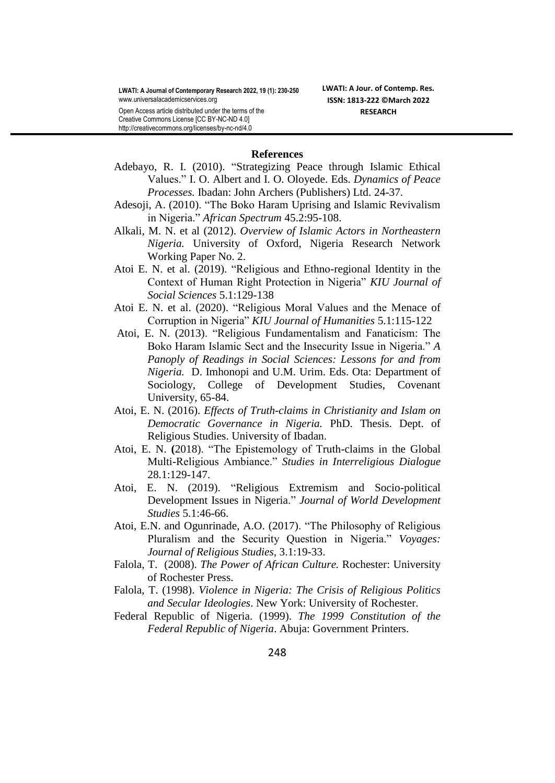**LWATI: A Jour. of Contemp. Res. ISSN: 1813-222 ©March 2022 RESEARCH**

Open Access article distributed under the terms of the Creative Commons License [CC BY-NC-ND 4.0] http://creativecommons.org/licenses/by-nc-nd/4.0

#### **References**

- Adebayo, R. I. (2010). "Strategizing Peace through Islamic Ethical Values." I. O. Albert and I. O. Oloyede. Eds. *Dynamics of Peace Processes.* Ibadan: John Archers (Publishers) Ltd. 24-37.
- Adesoji, A. (2010). "The Boko Haram Uprising and Islamic Revivalism in Nigeria." *African Spectrum* 45.2:95-108.
- Alkali, M. N. et al (2012). *Overview of Islamic Actors in Northeastern Nigeria.* University of Oxford, Nigeria Research Network Working Paper No. 2.
- Atoi E. N. et al. (2019). "Religious and Ethno-regional Identity in the Context of Human Right Protection in Nigeria" *KIU Journal of Social Sciences* 5.1:129-138
- Atoi E. N. et al. (2020). "Religious Moral Values and the Menace of Corruption in Nigeria" *KIU Journal of Humanities* 5.1:115-122
- Atoi, E. N. (2013). "Religious Fundamentalism and Fanaticism: The Boko Haram Islamic Sect and the Insecurity Issue in Nigeria." *A Panoply of Readings in Social Sciences: Lessons for and from Nigeria.* D. Imhonopi and U.M. Urim. Eds. Ota: Department of Sociology, College of Development Studies, Covenant University, 65-84.
- Atoi, E. N. (2016). *Effects of Truth-claims in Christianity and Islam on Democratic Governance in Nigeria.* PhD. Thesis. Dept. of Religious Studies. University of Ibadan.
- Atoi, E. N. **(**2018). "The Epistemology of Truth-claims in the Global Multi-Religious Ambiance." *Studies in Interreligious Dialogue*  28.1:129-147.
- Atoi, E. N. (2019). "Religious Extremism and Socio-political Development Issues in Nigeria." *Journal of World Development Studies* 5.1:46-66.
- Atoi, E.N. and Ogunrinade, A.O. (2017). "The Philosophy of Religious Pluralism and the Security Question in Nigeria." *Voyages: Journal of Religious Studies,* 3.1:19-33.
- Falola, T. (2008). *The Power of African Culture.* Rochester: University of Rochester Press.
- Falola, T. (1998). *Violence in Nigeria: The Crisis of Religious Politics and Secular Ideologies*. New York: University of Rochester.
- Federal Republic of Nigeria. (1999). *The 1999 Constitution of the Federal Republic of Nigeria*. Abuja: Government Printers.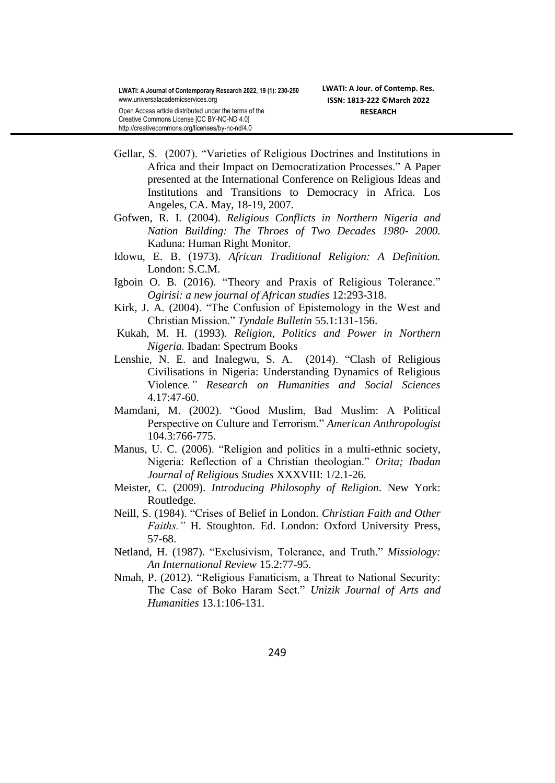Angeles, CA. May, 18-19, 2007.

Creative Commons License [CC BY-NC-ND 4.0]

- http://creativecommons.org/licenses/by-nc-nd/4.0 Gellar, S. (2007). "Varieties of Religious Doctrines and Institutions in Africa and their Impact on Democratization Processes." A Paper presented at the International Conference on Religious Ideas and Institutions and Transitions to Democracy in Africa. Los
	- Gofwen, R. I. (2004). *Religious Conflicts in Northern Nigeria and Nation Building: The Throes of Two Decades 1980- 2000.* Kaduna: Human Right Monitor.
	- Idowu*,* E. B. (1973). *African Traditional Religion: A Definition.* London: S.C.M.
	- Igboin O. B. (2016). "Theory and Praxis of Religious Tolerance." *Ogirisi: a new journal of African studies* 12:293-318.
	- Kirk, J. A. (2004). "The Confusion of Epistemology in the West and Christian Mission." *Tyndale Bulletin* 55.1:131-156.
	- Kukah, M. H. (1993). *Religion, Politics and Power in Northern Nigeria.* Ibadan: Spectrum Books
	- Lenshie, N. E. and Inalegwu, S. A. (2014). "Clash of Religious Civilisations in Nigeria: Understanding Dynamics of Religious Violence*." Research on Humanities and Social Sciences*  4.17:47-60.
	- Mamdani, M. (2002). "Good Muslim, Bad Muslim: A Political Perspective on Culture and Terrorism." *American Anthropologist* 104.3:766-775.
	- Manus, U. C. (2006). "Religion and politics in a multi-ethnic society, Nigeria: Reflection of a Christian theologian." *Orita; Ibadan Journal of Religious Studies* XXXVIII: 1/2.1-26.
	- Meister, C. (2009). *Introducing Philosophy of Religion*. New York: Routledge.
	- Neill, S. (1984). "Crises of Belief in London. *Christian Faith and Other Faiths."* H. Stoughton. Ed. London: Oxford University Press, 57-68.
	- Netland, H. (1987). "Exclusivism, Tolerance, and Truth." *Missiology: An International Review* 15.2:77-95.
	- Nmah, P. (2012). "Religious Fanaticism, a Threat to National Security: The Case of Boko Haram Sect." *Unizik Journal of Arts and Humanities* 13.1:106-131.